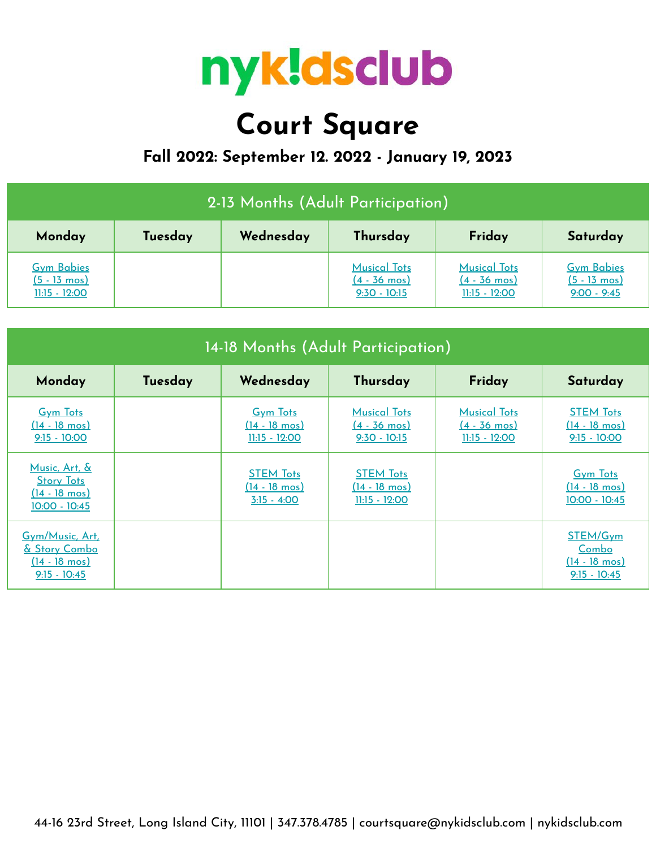

# **Court Square**

## **Fall 2022: September 12. 2022 - January 19, 2023**

| 2-13 Months (Adult Participation)                              |         |           |                                                                 |                                                                  |                                                              |  |
|----------------------------------------------------------------|---------|-----------|-----------------------------------------------------------------|------------------------------------------------------------------|--------------------------------------------------------------|--|
| Monday                                                         | Tuesday | Wednesday | Thursday                                                        | Friday                                                           | Saturday                                                     |  |
| <b>Gym Babies</b><br>$(5 - 13 \text{ mos})$<br>$11:15 - 12:00$ |         |           | <b>Musical Tots</b><br>$(4 - 36 \text{ mos})$<br>$9:30 - 10:15$ | <b>Musical Tots</b><br>$(4 - 36 \text{ mos})$<br>$11:15 - 12:00$ | <b>Gym Babies</b><br>$(5 - 13 \text{ mos})$<br>$9:00 - 9:45$ |  |

| 14-18 Months (Adult Participation)                                               |         |                                                               |                                                                 |                                                                  |                                                                       |  |
|----------------------------------------------------------------------------------|---------|---------------------------------------------------------------|-----------------------------------------------------------------|------------------------------------------------------------------|-----------------------------------------------------------------------|--|
| Monday                                                                           | Tuesday | Wednesday                                                     | Thursday                                                        | Friday                                                           | Saturday                                                              |  |
| <b>Gym Tots</b><br>$(14 - 18 \text{ mos})$<br>$9:15 - 10:00$                     |         | <b>Gym Tots</b><br>$(14 - 18 \text{ mos})$<br>$11:15 - 12:00$ | <b>Musical Tots</b><br>$(4 - 36 \text{ mos})$<br>$9:30 - 10:15$ | <b>Musical Tots</b><br>$(4 - 36 \text{ mos})$<br>$11:15 - 12:00$ | <b>STEM Tots</b><br>$(14 - 18 \text{ mos})$<br>$9:15 - 10:00$         |  |
| Music, Art, &<br><b>Story Tots</b><br>$(14 - 18 \text{ mos})$<br>$10:00 - 10:45$ |         | <b>STEM Tots</b><br>$(14 - 18 \text{ mos})$<br>$3:15 - 4:00$  | <b>STEM Tots</b><br>$(14 - 18 \text{ mos})$<br>$11:15 - 12:00$  |                                                                  | <b>Gym Tots</b><br>$(14 - 18 \text{ mos})$<br>10:00 - 10:45           |  |
| Gym/Music, Art,<br>& Story Combo<br>$(14 - 18 \text{ mos})$<br>$9:15 - 10:45$    |         |                                                               |                                                                 |                                                                  | STEM/Gym<br><u>Combo</u><br>$(14 - 18 \text{ mos})$<br>$9:15 - 10:45$ |  |

44-16 23rd Street, Long Island City, 11101 | 347.378.4785 | courtsquare@nykidsclub.com | nykidsclub.com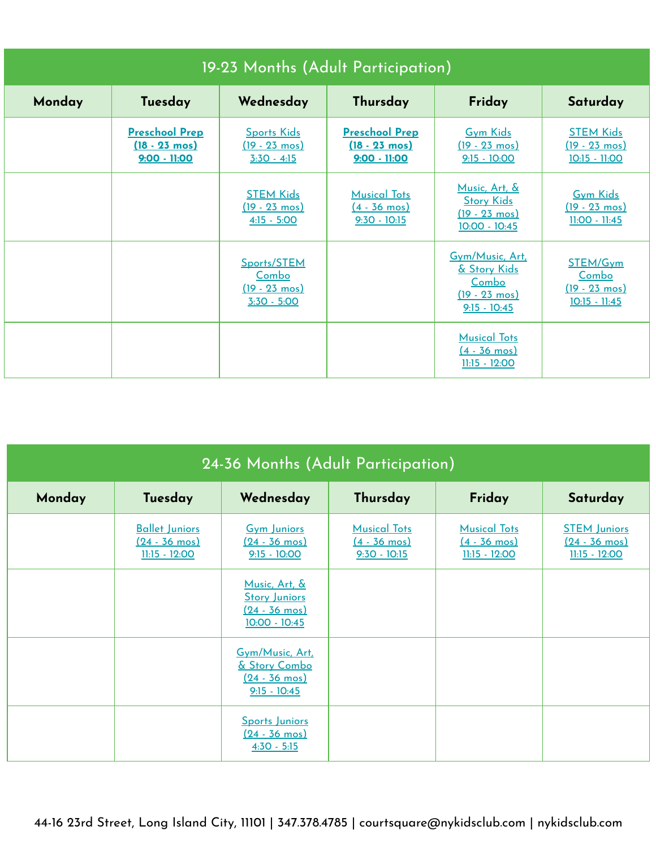| 19-23 Months (Adult Participation) |                                                                    |                                                                  |                                                                    |                                                                                       |                                                                 |  |  |
|------------------------------------|--------------------------------------------------------------------|------------------------------------------------------------------|--------------------------------------------------------------------|---------------------------------------------------------------------------------------|-----------------------------------------------------------------|--|--|
| Monday                             | Tuesday                                                            | Wednesday                                                        | Thursday                                                           | Friday                                                                                | Saturday                                                        |  |  |
|                                    | <b>Preschool Prep</b><br>$(18 - 23 \text{ mos})$<br>$9:00 - 11:00$ | <b>Sports Kids</b><br>$(19 - 23 \text{ mos})$<br>$3:30 - 4:15$   | <b>Preschool Prep</b><br>$(18 - 23 \text{ mos})$<br>$9:00 - 11:00$ | <b>Gym Kids</b><br>$(19 - 23 \text{ mos})$<br>$9:15 - 10:00$                          | <b>STEM Kids</b><br>$(19 - 23 \text{ mos})$<br>10:15 - 11:00    |  |  |
|                                    |                                                                    | <b>STEM Kids</b><br>$(19 - 23 \text{ mos})$<br>$4:15 - 5:00$     | <b>Musical Tots</b><br>$(4 - 36 \text{ mos})$<br>$9:30 - 10:15$    | Music, Art, &<br><b>Story Kids</b><br>$(19 - 23 \text{ mos})$<br>$10:00 - 10:45$      | <b>Gym Kids</b><br>$(19 - 23 \text{ mos})$<br>11:00 - 11:45     |  |  |
|                                    |                                                                    | Sports/STEM<br>Combo<br>$(19 - 23 \text{ mos})$<br>$3:30 - 5:00$ |                                                                    | Gym/Music, Art,<br>& Story Kids<br>Combo<br>$(19 - 23 \text{ mos})$<br>$9:15 - 10:45$ | STEM/Gym<br>Combo<br>$(19 - 23 \text{ mos})$<br>$10:15 - 11:45$ |  |  |
|                                    |                                                                    |                                                                  |                                                                    | <b>Musical Tots</b><br>$(4 - 36 \text{ mos})$<br>$11:15 - 12:00$                      |                                                                 |  |  |

| 24-36 Months (Adult Participation) |                                                                     |                                                                                |                                                                 |                                                                  |                                                                   |  |  |
|------------------------------------|---------------------------------------------------------------------|--------------------------------------------------------------------------------|-----------------------------------------------------------------|------------------------------------------------------------------|-------------------------------------------------------------------|--|--|
| Monday                             | Tuesday                                                             | Wednesday                                                                      | Thursday                                                        | Friday                                                           | Saturday                                                          |  |  |
|                                    | <b>Ballet Juniors</b><br>$(24 - 36 \text{ mos})$<br>$11:15 - 12:00$ | <b>Gym Juniors</b><br>$(24 - 36 \text{ mos})$<br>$9:15 - 10:00$                | <b>Musical Tots</b><br>$(4 - 36 \text{ mos})$<br>$9:30 - 10:15$ | <b>Musical Tots</b><br>$(4 - 36 \text{ mos})$<br>$11:15 - 12:00$ | <b>STEM Juniors</b><br>$(24 - 36 \text{ mos})$<br>$11:15 - 12:00$ |  |  |
|                                    |                                                                     | Music, Art, &<br><b>Story Juniors</b><br><u>(24 - 36 mos)</u><br>10:00 - 10:45 |                                                                 |                                                                  |                                                                   |  |  |
|                                    |                                                                     | Gym/Music, Art.<br>& Story Combo<br>$(24 - 36 \text{ mos})$<br>$9:15 - 10:45$  |                                                                 |                                                                  |                                                                   |  |  |
|                                    |                                                                     | <b>Sports Juniors</b><br>$(24 - 36 \text{ mos})$<br>$4:30 - 5:15$              |                                                                 |                                                                  |                                                                   |  |  |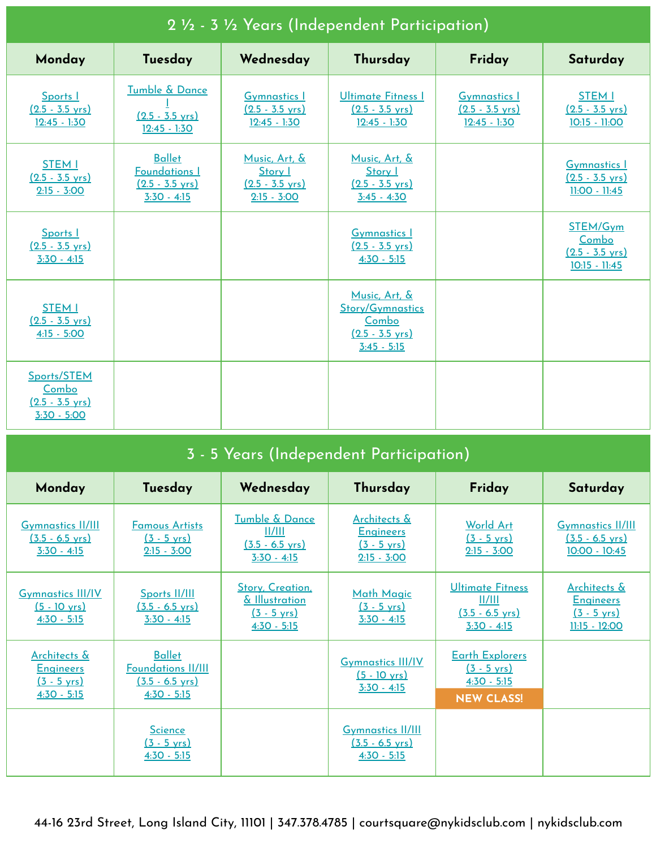| 2 1/2 - 3 1/2 Years (Independent Participation)                    |                                                                                     |                                                                        |                                                                                                 |                                                                    |                                                                     |  |
|--------------------------------------------------------------------|-------------------------------------------------------------------------------------|------------------------------------------------------------------------|-------------------------------------------------------------------------------------------------|--------------------------------------------------------------------|---------------------------------------------------------------------|--|
| Monday                                                             | Tuesday                                                                             | Wednesday                                                              | Thursday                                                                                        | Friday                                                             | Saturday                                                            |  |
| Sports  <br>$(2.5 - 3.5 \text{ yrs})$<br>$12:45 - 1:30$            | Tumble & Dance<br>$(2.5 - 3.5 \text{ yrs})$<br>$12:45 - 1:30$                       | <b>Gymnastics 1</b><br>$(2.5 - 3.5 \text{ yrs})$<br>$12:45 - 1:30$     | Ultimate Fitness I<br>$(2.5 - 3.5 \text{ yrs})$<br>$12:45 - 1:30$                               | <b>Gymnastics 1</b><br>$(2.5 - 3.5 \text{ yrs})$<br>$12:45 - 1:30$ | <b>STEM I</b><br>$(2.5 - 3.5 \text{ yrs})$<br>10:15 - 11:00         |  |
| <b>STEM I</b><br>$(2.5 - 3.5 \text{ yrs})$<br>$2:15 - 3:00$        | <b>Ballet</b><br><b>Foundations I</b><br>$(2.5 - 3.5 \text{ yrs})$<br>$3:30 - 4:15$ | Music, Art, &<br>Story I<br>$(2.5 - 3.5 \text{ yrs})$<br>$2:15 - 3:00$ | Music, Art, &<br>Story I<br>$(2.5 - 3.5 \text{ yrs})$<br>$3:45 - 4:30$                          |                                                                    | <b>Gymnastics 1</b><br>$(2.5 - 3.5 \text{ yrs})$<br>$11:00 - 11:45$ |  |
| Sports  <br>$(2.5 - 3.5 \text{ yrs})$<br>$3:30 - 4:15$             |                                                                                     |                                                                        | <b>Gymnastics I</b><br>$(2.5 - 3.5 \text{ yrs})$<br>$4:30 - 5:15$                               |                                                                    | STEM/Gym<br>Combo<br>$(2.5 - 3.5 \text{ vrs})$<br>$10:15 - 11:45$   |  |
| <b>STEM I</b><br>$(2.5 - 3.5 \text{ vrs})$<br>$4:15 - 5:00$        |                                                                                     |                                                                        | Music, Art, &<br><b>Story/Gymnastics</b><br>Combo<br>$(2.5 - 3.5 \text{ vrs})$<br>$3:45 - 5:15$ |                                                                    |                                                                     |  |
| Sports/STEM<br>Combo<br>$(2.5 - 3.5 \text{ yrs})$<br>$3:30 - 5:00$ |                                                                                     |                                                                        |                                                                                                 |                                                                    |                                                                     |  |

|  | 3 - 5 Years (Independent Participation) |
|--|-----------------------------------------|
|  |                                         |

| Monday                                                                                | Tuesday                                                                                  | Wednesday                                                                    | Thursday                                                                   | Friday                                                                                | Saturday                                                                     |
|---------------------------------------------------------------------------------------|------------------------------------------------------------------------------------------|------------------------------------------------------------------------------|----------------------------------------------------------------------------|---------------------------------------------------------------------------------------|------------------------------------------------------------------------------|
| <b>Gymnastics II/III</b><br>$(3.5 - 6.5 \text{ yrs})$<br>$3:30 - 4:15$                | <b>Famous Artists</b><br>$(3 - 5 \text{ yrs})$<br>$2:15 - 3:00$                          | Tumble & Dance<br>  /   <br>$(3.5 - 6.5 \text{ yrs})$<br>$3:30 - 4:15$       | Architects &<br><b>Engineers</b><br>$(3 - 5 \text{ yrs})$<br>$2:15 - 3:00$ | <b>World Art</b><br>$(3 - 5 \text{ yrs})$<br>$2:15 - 3:00$                            | <b>Gymnastics II/III</b><br>$(3.5 - 6.5 \text{ yrs})$<br>10:00 - 10:45       |
| <b>Gymnastics III/IV</b><br>$(5 - 10 \text{ yrs})$<br>$4:30 - 5:15$                   | Sports II/III<br>$(3.5 - 6.5 \text{ yrs})$<br>$3:30 - 4:15$                              | Story, Creation,<br>& Illustration<br>$(3 - 5 \text{ yrs})$<br>$4:30 - 5:15$ | <b>Math Magic</b><br>$(3 - 5 \text{ yrs})$<br>$3:30 - 4:15$                | Ultimate Fitness<br>  /   <br>$(3.5 - 6.5 \text{ yrs})$<br>$3:30 - 4:15$              | Architects &<br><b>Engineers</b><br>$(3 - 5 \text{ yrs})$<br>$11:15 - 12:00$ |
| <b>Architects &amp;</b><br><b>Engineers</b><br>$(3 - 5 \text{ vrs})$<br>$4:30 - 5:15$ | <b>Ballet</b><br><b>Foundations II/III</b><br>$(3.5 - 6.5 \text{ yrs})$<br>$4:30 - 5:15$ |                                                                              | <b>Gymnastics III/IV</b><br>$(5 - 10 \text{ yrs})$<br>$3:30 - 4:15$        | <b>Earth Explorers</b><br>$(3 - 5 \text{ yrs})$<br>$4:30 - 5:15$<br><b>NEW CLASS!</b> |                                                                              |
|                                                                                       | <b>Science</b><br>$(3 - 5 \text{ yrs})$<br>$4:30 - 5:15$                                 |                                                                              | <b>Gymnastics II/III</b><br>$(3.5 - 6.5 \text{ vrs})$<br>$4:30 - 5:15$     |                                                                                       |                                                                              |